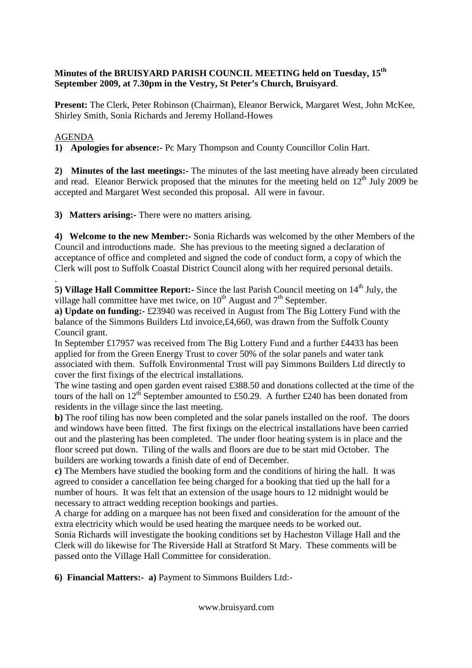## **Minutes of the BRUISYARD PARISH COUNCIL MEETING held on Tuesday, 15th September 2009, at 7.30pm in the Vestry, St Peter's Church, Bruisyard**.

**Present:** The Clerk, Peter Robinson (Chairman), Eleanor Berwick, Margaret West, John McKee, Shirley Smith, Sonia Richards and Jeremy Holland-Howes

## AGENDA

**1) Apologies for absence:-** Pc Mary Thompson and County Councillor Colin Hart.

**2) Minutes of the last meetings:-** The minutes of the last meeting have already been circulated and read. Eleanor Berwick proposed that the minutes for the meeting held on  $12<sup>th</sup>$  July 2009 be accepted and Margaret West seconded this proposal. All were in favour.

**3) Matters arising:-** There were no matters arising.

**4) Welcome to the new Member:-** Sonia Richards was welcomed by the other Members of the Council and introductions made. She has previous to the meeting signed a declaration of acceptance of office and completed and signed the code of conduct form, a copy of which the Clerk will post to Suffolk Coastal District Council along with her required personal details.

. **5) Village Hall Committee Report:-** Since the last Parish Council meeting on 14<sup>th</sup> July, the village hall committee have met twice, on  $10^{th}$  August and  $7^{th}$  September.

**a) Update on funding:**- £23940 was received in August from The Big Lottery Fund with the balance of the Simmons Builders Ltd invoice,£4,660, was drawn from the Suffolk County Council grant.

In September £17957 was received from The Big Lottery Fund and a further £4433 has been applied for from the Green Energy Trust to cover 50% of the solar panels and water tank associated with them. Suffolk Environmental Trust will pay Simmons Builders Ltd directly to cover the first fixings of the electrical installations.

The wine tasting and open garden event raised £388.50 and donations collected at the time of the tours of the hall on 12<sup>th</sup> September amounted to £50.29. A further £240 has been donated from residents in the village since the last meeting.

**b)** The roof tiling has now been completed and the solar panels installed on the roof. The doors and windows have been fitted. The first fixings on the electrical installations have been carried out and the plastering has been completed. The under floor heating system is in place and the floor screed put down. Tiling of the walls and floors are due to be start mid October. The builders are working towards a finish date of end of December.

**c)** The Members have studied the booking form and the conditions of hiring the hall. It was agreed to consider a cancellation fee being charged for a booking that tied up the hall for a number of hours. It was felt that an extension of the usage hours to 12 midnight would be necessary to attract wedding reception bookings and parties.

A charge for adding on a marquee has not been fixed and consideration for the amount of the extra electricity which would be used heating the marquee needs to be worked out.

Sonia Richards will investigate the booking conditions set by Hacheston Village Hall and the Clerk will do likewise for The Riverside Hall at Stratford St Mary. These comments will be passed onto the Village Hall Committee for consideration.

**6) Financial Matters:- a)** Payment to Simmons Builders Ltd:-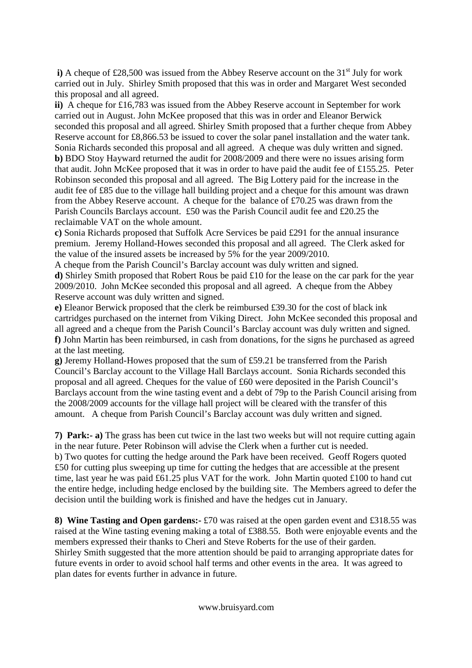**i**) A cheque of £28,500 was issued from the Abbey Reserve account on the  $31<sup>st</sup>$  July for work carried out in July. Shirley Smith proposed that this was in order and Margaret West seconded this proposal and all agreed.

**ii)** A cheque for £16,783 was issued from the Abbey Reserve account in September for work carried out in August. John McKee proposed that this was in order and Eleanor Berwick seconded this proposal and all agreed. Shirley Smith proposed that a further cheque from Abbey Reserve account for £8,866.53 be issued to cover the solar panel installation and the water tank. Sonia Richards seconded this proposal and all agreed. A cheque was duly written and signed. **b)** BDO Stoy Hayward returned the audit for 2008/2009 and there were no issues arising form that audit. John McKee proposed that it was in order to have paid the audit fee of £155.25. Peter Robinson seconded this proposal and all agreed. The Big Lottery paid for the increase in the audit fee of £85 due to the village hall building project and a cheque for this amount was drawn from the Abbey Reserve account. A cheque for the balance of £70.25 was drawn from the Parish Councils Barclays account. £50 was the Parish Council audit fee and £20.25 the reclaimable VAT on the whole amount.

**c)** Sonia Richards proposed that Suffolk Acre Services be paid £291 for the annual insurance premium. Jeremy Holland-Howes seconded this proposal and all agreed. The Clerk asked for the value of the insured assets be increased by 5% for the year 2009/2010.

A cheque from the Parish Council's Barclay account was duly written and signed. **d)** Shirley Smith proposed that Robert Rous be paid £10 for the lease on the car park for the year 2009/2010. John McKee seconded this proposal and all agreed. A cheque from the Abbey Reserve account was duly written and signed.

**e)** Eleanor Berwick proposed that the clerk be reimbursed £39.30 for the cost of black ink cartridges purchased on the internet from Viking Direct. John McKee seconded this proposal and all agreed and a cheque from the Parish Council's Barclay account was duly written and signed. **f)** John Martin has been reimbursed, in cash from donations, for the signs he purchased as agreed at the last meeting.

**g)** Jeremy Holland-Howes proposed that the sum of £59.21 be transferred from the Parish Council's Barclay account to the Village Hall Barclays account. Sonia Richards seconded this proposal and all agreed. Cheques for the value of £60 were deposited in the Parish Council's Barclays account from the wine tasting event and a debt of 79p to the Parish Council arising from the 2008/2009 accounts for the village hall project will be cleared with the transfer of this amount. A cheque from Parish Council's Barclay account was duly written and signed.

**7) Park:- a)** The grass has been cut twice in the last two weeks but will not require cutting again in the near future. Peter Robinson will advise the Clerk when a further cut is needed. b) Two quotes for cutting the hedge around the Park have been received. Geoff Rogers quoted £50 for cutting plus sweeping up time for cutting the hedges that are accessible at the present time, last year he was paid £61.25 plus VAT for the work. John Martin quoted £100 to hand cut the entire hedge, including hedge enclosed by the building site. The Members agreed to defer the decision until the building work is finished and have the hedges cut in January.

**8) Wine Tasting and Open gardens:-** £70 was raised at the open garden event and £318.55 was raised at the Wine tasting evening making a total of £388.55. Both were enjoyable events and the members expressed their thanks to Cheri and Steve Roberts for the use of their garden. Shirley Smith suggested that the more attention should be paid to arranging appropriate dates for future events in order to avoid school half terms and other events in the area. It was agreed to plan dates for events further in advance in future.